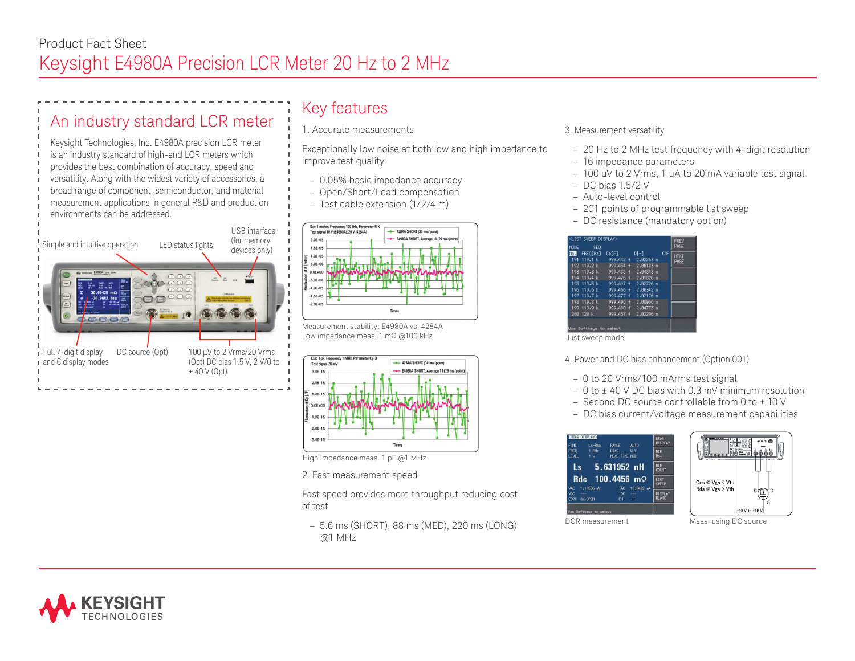# An industry standard LCR meter

Keysight Technologies, Inc. E4980A precision LCR meter is an industry standard of high-end LCR meters which provides the best combination of accuracy, speed and versatility. Along with the widest variety of accessories, a broad range of component, semiconductor, and material measurement applications in general R&D and production environments can be addressed.



## Key features

1. Accurate measurements

Exceptionally low noise at both low and high impedance to improve test quality

- 0.05% basic impedance accuracy
- Open/Short/Load compensation
- Test cable extension (1/2/4 m)



Measurement stability: E4980A vs. 4284A Low impedance meas. 1 mΩ @100 kHz



High impedance meas. 1 pF @1 MHz

2. Fast measurement speed

Fast speed provides more throughput reducing cost of test

– 5.6 ms (SHORT), 88 ms (MED), 220 ms (LONG) @1 MHz

- 3. Measurement versatility
	- 20 Hz to 2 MHz test frequency with 4-digit resolution
	- 16 impedance parameters
	- 100 uV to 2 Vrms, 1 uA to 20 mA variable test signal
	- DC bias 1.5/2 V
- Auto-level control
- 201 points of programmable list sweep
- DC resistance (mandatory option)

| <list display="" sweep=""><br/>MODE SED</list> | PREV<br>PARE           |       |                                 |            |             |  |  |  |  |
|------------------------------------------------|------------------------|-------|---------------------------------|------------|-------------|--|--|--|--|
|                                                | TO FREO[Hz]            | Cp[F] | $Df-1$                          | <b>CHP</b> | <b>NEXT</b> |  |  |  |  |
|                                                |                        |       | 191 119.1 k 999.442 f 2.82263 m |            | PAGE        |  |  |  |  |
|                                                |                        |       | 192 119.2 k 999.434 f 2.86133 m |            |             |  |  |  |  |
|                                                |                        |       | 193 119.3 k 999.486 f 2.84843 m |            |             |  |  |  |  |
|                                                |                        |       | 194 119.4 k 999.476 f 2.81826 n |            |             |  |  |  |  |
|                                                | 195 119.5 k            |       | 999.497 f 2.82726 m             |            |             |  |  |  |  |
|                                                |                        |       | 196 119.6 k 999.466 + 2.88342 n |            |             |  |  |  |  |
|                                                |                        |       | 197 119.7 k 999.477 f 2.87176 m |            |             |  |  |  |  |
|                                                | 198 119.8 k            |       | 999.496 f 2.88966 n             |            |             |  |  |  |  |
|                                                | 199 119.9 k            |       | 999.488 f 2.84773 a             |            |             |  |  |  |  |
|                                                | 288 128 k              |       | 999.457 f 2.82296 n             |            |             |  |  |  |  |
|                                                | Use Softkeys to select |       |                                 |            |             |  |  |  |  |

List sweep mode

4. Power and DC bias enhancement (Option 001)

- 0 to 20 Vrms/100 mArms test signal
- $-0$  to  $\pm$  40 V DC bias with 0.3 mV minimum resolution
- Second DC source controllable from  $0$  to  $\pm$  10 V
- DC bias current/voltage measurement capabilities





DCR measurement Meas. using DC source